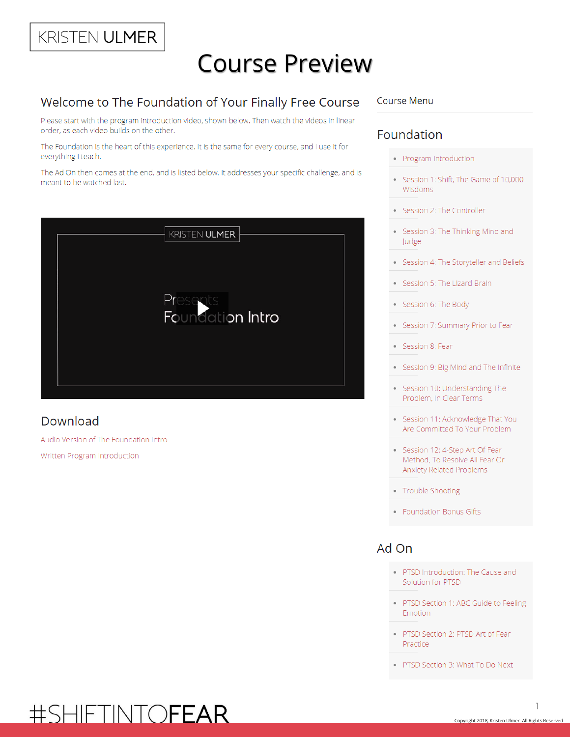# KRISTEN ULMER

# **Course Preview**

## Welcome to The Foundation of Your Finally Free Course

Please start with the program introduction video, shown below. Then watch the videos in linear order, as each video builds on the other.

The Foundation is the heart of this experience. It is the same for every course, and I use it for everything I teach.

The Ad On then comes at the end, and is listed below. It addresses your specific challenge, and is meant to be watched last.



## Download

Audio Version of The Foundation Intro Written Program Introduction

#### **Course Menu**

### Foundation

- Program Introduction
- Session 1: Shift, The Game of 10,000 Wisdoms
- Session 2: The Controller
- Session 3: The Thinking Mind and Judge
- Session 4: The Storyteller and Beliefs
- Session 5: The Lizard Brain
- Session 6: The Body
- Session 7: Summary Prior to Fear  $\bullet$
- Session 8: Fear
- Session 9: Big Mind and The Infinite
- Session 10: Understanding The Problem, In Clear Terms
- · Session 11: Acknowledge That You Are Committed To Your Problem
- Session 12: 4-Step Art Of Fear Method, To Resolve All Fear Or Anxiety Related Problems
- Trouble Shooting
- Foundation Bonus Gifts

### Ad On

- PTSD Introduction: The Cause and Solution for PTSD
- PTSD Section 1: ABC Guide to Feeling Emotion
- PTSD Section 2: PTSD Art of Fear Practice
- PTSD Section 3: What To Do Next

# #SHIFTINTOFEAR

 $\mathbb{I}$